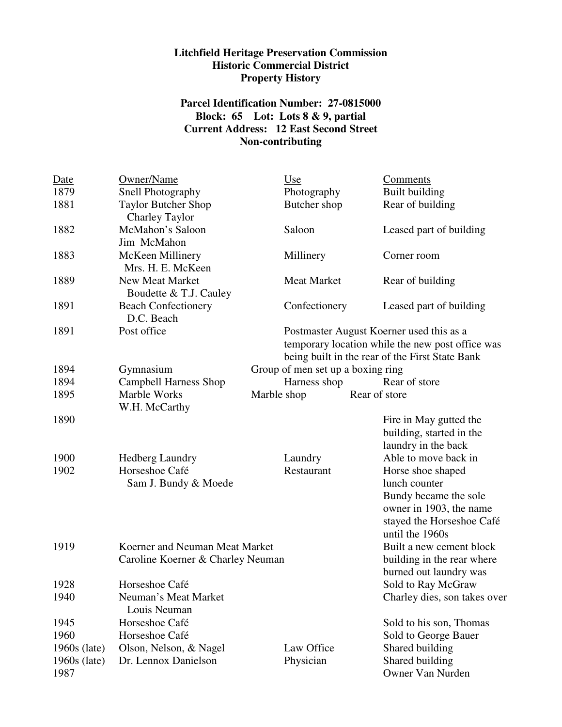## **Litchfield Heritage Preservation Commission Historic Commercial District Property History**

## **Parcel Identification Number: 27-0815000 Block: 65 Lot: Lots 8 & 9, partial Current Address: 12 East Second Street Non-contributing**

| Date                   | Owner/Name                                                          |             | Use                               | Comments                                                                                                                                        |
|------------------------|---------------------------------------------------------------------|-------------|-----------------------------------|-------------------------------------------------------------------------------------------------------------------------------------------------|
| 1879                   | Snell Photography                                                   |             | Photography                       | <b>Built building</b>                                                                                                                           |
| 1881                   | <b>Taylor Butcher Shop</b><br><b>Charley Taylor</b>                 |             | Butcher shop                      | Rear of building                                                                                                                                |
| 1882                   | McMahon's Saloon<br>Jim McMahon                                     |             | Saloon                            | Leased part of building                                                                                                                         |
| 1883                   | McKeen Millinery<br>Mrs. H. E. McKeen                               |             | Millinery                         | Corner room                                                                                                                                     |
| 1889                   | New Meat Market<br>Boudette & T.J. Cauley                           |             | Meat Market                       | Rear of building                                                                                                                                |
| 1891                   | <b>Beach Confectionery</b><br>D.C. Beach                            |             | Confectionery                     | Leased part of building                                                                                                                         |
| 1891                   | Post office                                                         |             |                                   | Postmaster August Koerner used this as a<br>temporary location while the new post office was<br>being built in the rear of the First State Bank |
| 1894                   | Gymnasium                                                           |             | Group of men set up a boxing ring |                                                                                                                                                 |
| 1894                   | Campbell Harness Shop                                               |             | Harness shop                      | Rear of store                                                                                                                                   |
| 1895                   | Marble Works<br>W.H. McCarthy                                       | Marble shop |                                   | Rear of store                                                                                                                                   |
| 1890                   |                                                                     |             |                                   | Fire in May gutted the<br>building, started in the<br>laundry in the back                                                                       |
| 1900                   | <b>Hedberg Laundry</b>                                              |             | Laundry                           | Able to move back in                                                                                                                            |
| 1902                   | Horseshoe Café<br>Sam J. Bundy & Moede                              |             | Restaurant                        | Horse shoe shaped<br>lunch counter<br>Bundy became the sole<br>owner in 1903, the name<br>stayed the Horseshoe Café<br>until the 1960s          |
| 1919                   | Koerner and Neuman Meat Market<br>Caroline Koerner & Charley Neuman |             |                                   | Built a new cement block<br>building in the rear where<br>burned out laundry was                                                                |
| 1928                   | Horseshoe Café                                                      |             |                                   | Sold to Ray McGraw                                                                                                                              |
| 1940                   | Neuman's Meat Market<br>Louis Neuman                                |             |                                   | Charley dies, son takes over                                                                                                                    |
| 1945                   | Horseshoe Café                                                      |             |                                   | Sold to his son, Thomas                                                                                                                         |
| 1960                   | Horseshoe Café                                                      |             |                                   | Sold to George Bauer                                                                                                                            |
| $1960s$ (late)         | Olson, Nelson, & Nagel                                              |             | Law Office                        | Shared building                                                                                                                                 |
| $1960s$ (late)<br>1987 | Dr. Lennox Danielson                                                |             | Physician                         | Shared building<br>Owner Van Nurden                                                                                                             |